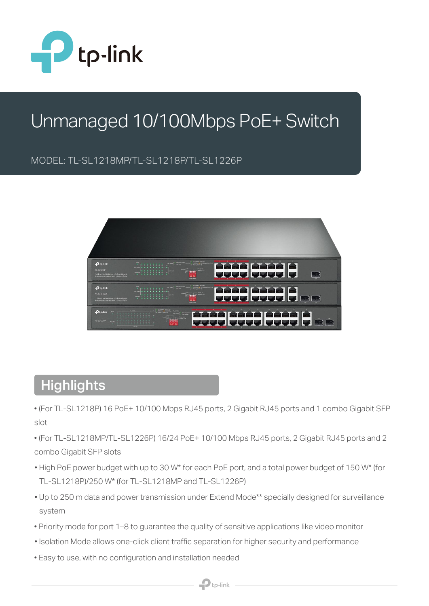

# Unmanaged 10/100Mbps PoE+ Switch

#### MODEL: TL-SL1218MP/TL-SL1218P/TL-SL1226P



#### **Highlights**

- (For TL-SL1218P) 16 PoE+ 10/100 Mbps RJ45 ports, 2 Gigabit RJ45 ports and 1 combo Gigabit SFP slot
- (For TL-SL1218MP/TL-SL1226P) 16/24 PoE+ 10/100 Mbps RJ45 ports, 2 Gigabit RJ45 ports and 2 combo Gigabit SFP slots
- High PoE power budget with up to 30 W\* for each PoE port, and a total power budget of 150 W\* (for TL-SL1218P)/250 W\* (for TL-SL1218MP and TL-SL1226P)
- Up to 250 m data and power transmission under Extend Mode\*\* specially designed for surveillance system
- Priority mode for port 1–8 to guarantee the quality of sensitive applications like video monitor
- Isolation Mode allows one-click client traffic separation for higher security and performance
- Easy to use, with no configuration and installation needed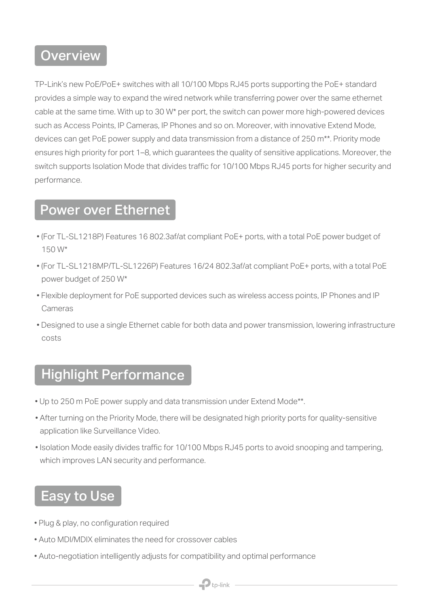#### **Overview**

TP-Link's new PoE/PoE+ switches with all 10/100 Mbps RJ45 ports supporting the PoE+ standard provides a simple way to expand the wired network while transferring power over the same ethernet cable at the same time. With up to 30 W\* per port, the switch can power more high-powered devices such as Access Points, IP Cameras, IP Phones and so on. Moreover, with innovative Extend Mode, devices can get PoE power supply and data transmission from a distance of 250 m\*\*. Priority mode ensures high priority for port 1–8, which guarantees the quality of sensitive applications. Moreover, the switch supports Isolation Mode that divides traffic for 10/100 Mbps RJ45 ports for higher security and performance.

#### Power over Ethernet

- (For TL-SL1218P) Features 16 802.3af/at compliant PoE+ ports, with a total PoE power budget of 150 W\*
- (For TL-SL1218MP/TL-SL1226P) Features 16/24 802.3af/at compliant PoE+ ports, with a total PoE power budget of 250 W\*
- Flexible deployment for PoE supported devices such as wireless access points, IP Phones and IP Cameras
- Designed to use a single Ethernet cable for both data and power transmission, lowering infrastructure costs

### Highlight Performance

- Up to 250 m PoE power supply and data transmission under Extend Mode\*\*.
- After turning on the Priority Mode, there will be designated high priority ports for quality-sensitive application like Surveillance Video.
- Isolation Mode easily divides traffic for 10/100 Mbps RJ45 ports to avoid snooping and tampering, which improves LAN security and performance.

 $\mathbf{P}$ tp-link

## Easy to Use

- Plug & play, no configuration required
- Auto MDI/MDIX eliminates the need for crossover cables
- Auto-negotiation intelligently adjusts for compatibility and optimal performance